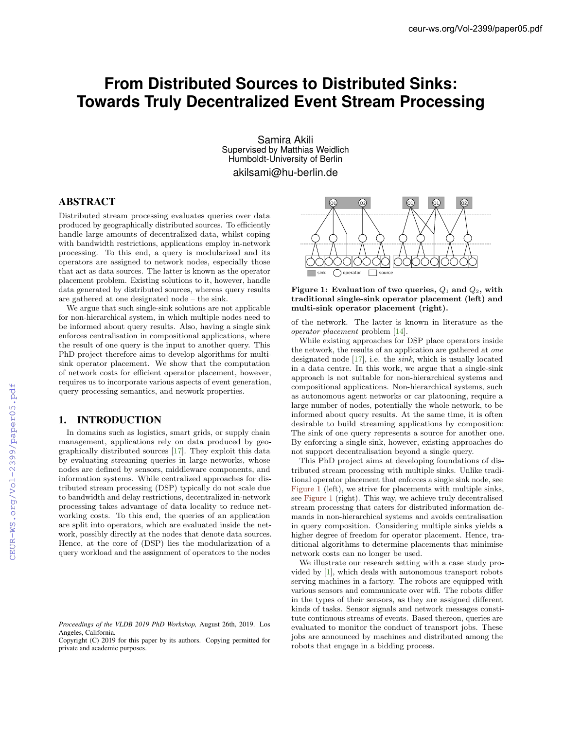# **From Distributed Sources to Distributed Sinks: Towards Truly Decentralized Event Stream Processing**

Samira Akili Supervised by Matthias Weidlich Humboldt-University of Berlin akilsami@hu-berlin.de

# ABSTRACT

Distributed stream processing evaluates queries over data produced by geographically distributed sources. To efficiently handle large amounts of decentralized data, whilst coping with bandwidth restrictions, applications employ in-network processing. To this end, a query is modularized and its operators are assigned to network nodes, especially those that act as data sources. The latter is known as the operator placement problem. Existing solutions to it, however, handle data generated by distributed sources, whereas query results are gathered at one designated node – the sink.

We argue that such single-sink solutions are not applicable for non-hierarchical system, in which multiple nodes need to be informed about query results. Also, having a single sink enforces centralisation in compositional applications, where the result of one query is the input to another query. This PhD project therefore aims to develop algorithms for multisink operator placement. We show that the computation of network costs for efficient operator placement, however, requires us to incorporate various aspects of event generation, query processing semantics, and network properties.

## 1. INTRODUCTION

In domains such as logistics, smart grids, or supply chain management, applications rely on data produced by geographically distributed sources [17]. They exploit this data by evaluating streaming queries in large networks, whose nodes are defined by sensors, middleware components, and information systems. While centralized approaches for distributed stream processing (DSP) typically do not scale due to bandwidth and delay restrictions, decentralized in-network processing takes advantage of data locality to reduce networking costs. To this end, the queries of an application are split into operators, which are evaluated inside the network, possibly directly at the nodes that denote data sources. Hence, at the core of (DSP) lies the modularization of a query workload and the assignment of operators to the nodes





of the network. The latter is known in literature as the *operator placement* problem [14].

While existing approaches for DSP place operators inside the network, the results of an application are gathered at *one* designated node [17], i.e. the *sink*, which is usually located in a data centre. In this work, we argue that a single-sink approach is not suitable for non-hierarchical systems and compositional applications. Non-hierarchical systems, such as autonomous agent networks or car platooning, require a large number of nodes, potentially the whole network, to be informed about query results. At the same time, it is often desirable to build streaming applications by composition: The sink of one query represents a source for another one. By enforcing a single sink, however, existing approaches do not support decentralisation beyond a single query.

This PhD project aims at developing foundations of distributed stream processing with multiple sinks. Unlike traditional operator placement that enforces a single sink node, see Figure 1 (left), we strive for placements with multiple sinks, see Figure 1 (right). This way, we achieve truly decentralised stream processing that caters for distributed information demands in non-hierarchical systems and avoids centralisation in query composition. Considering multiple sinks yields a higher degree of freedom for operator placement. Hence, traditional algorithms to determine placements that minimise network costs can no longer be used.

We illustrate our research setting with a case study provided by [1], which deals with autonomous transport robots serving machines in a factory. The robots are equipped with various sensors and communicate over wifi. The robots differ in the types of their sensors, as they are assigned different kinds of tasks. Sensor signals and network messages constitute continuous streams of events. Based thereon, queries are evaluated to monitor the conduct of transport jobs. These jobs are announced by machines and distributed among the robots that engage in a bidding process.

*Proceedings of the VLDB 2019 PhD Workshop,* August 26th, 2019. Los Angeles, California.

Copyright (C) 2019 for this paper by its authors. Copying permitted for private and academic purposes.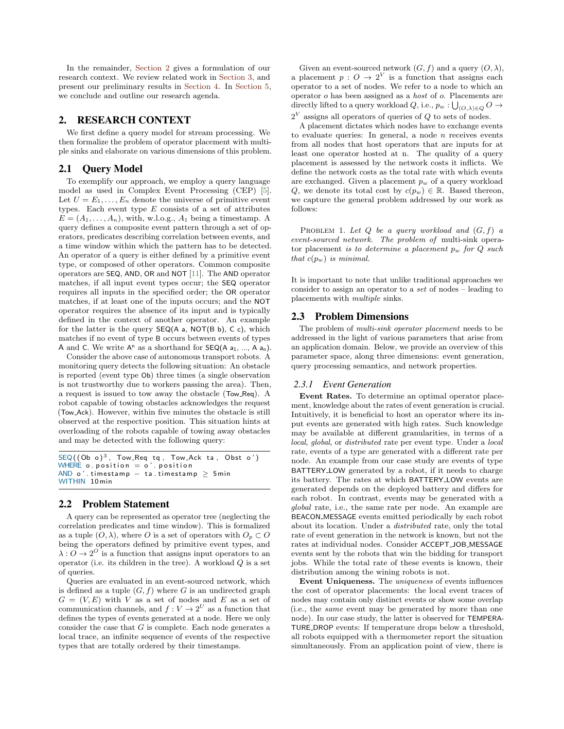In the remainder, Section 2 gives a formulation of our research context. We review related work in Section 3, and present our preliminary results in Section 4. In Section 5, we conclude and outline our research agenda.

### 2. RESEARCH CONTEXT

We first define a query model for stream processing. We then formalize the problem of operator placement with multiple sinks and elaborate on various dimensions of this problem.

## 2.1 Query Model

To exemplify our approach, we employ a query language model as used in Complex Event Processing (CEP) [5]. Let  $U = E_1, \ldots, E_n$  denote the universe of primitive event types. Each event type *E* consists of a set of attributes  $E = (A_1, \ldots, A_n)$ , with, w.l.o.g.,  $A_1$  being a timestamp. A query defines a composite event pattern through a set of operators, predicates describing correlation between events, and a time window within which the pattern has to be detected. An operator of a query is either defined by a primitive event type, or composed of other operators. Common composite operators are SEQ, AND, OR and NOT [11]. The AND operator matches, if all input event types occur; the SEQ operator requires all inputs in the specified order; the OR operator matches, if at least one of the inputs occurs; and the NOT operator requires the absence of its input and is typically defined in the context of another operator. An example for the latter is the query  $SEQ(A \na, NOT(B \nb), C \nc)$ , which matches if no event of type B occurs between events of types A and C. We write  $A^n$  as a shorthand for  $\mathsf{SEQ}(A a_1, ..., A a_n)$ .

Consider the above case of autonomous transport robots. A monitoring query detects the following situation: An obstacle is reported (event type Ob) three times (a single observation is not trustworthy due to workers passing the area). Then, a request is issued to tow away the obstacle (Tow Req). A robot capable of towing obstacles acknowledges the request (Tow Ack). However, within five minutes the obstacle is still observed at the respective position. This situation hints at overloading of the robots capable of towing away obstacles and may be detected with the following query:

```
SEQ((Ob o)<sup>3</sup>), Tow_Req tq, Tow_Ack ta, Obst o')
WHERE o. position = o'. positionAND o'. timestamp - ta. timestamp \geq 5min
WITHIN 10min
```
## 2.2 Problem Statement

A query can be represented as operator tree (neglecting the correlation predicates and time window). This is formalized as a tuple  $(O, \lambda)$ , where *O* is a set of operators with  $O_p \subset O$ being the operators defined by primitive event types, and  $\lambda: \check{O} \to 2^O$  is a function that assigns input operators to an operator (i.e. its children in the tree). A workload *Q* is a set of queries.

Queries are evaluated in an event-sourced network, which is defined as a tuple  $(G, f)$  where  $G$  is an undirected graph  $G = (V, E)$  with *V* as a set of nodes and *E* as a set of communication channels, and  $f: V \to 2^U$  as a function that defines the types of events generated at a node. Here we only consider the case that *G* is complete. Each node generates a local trace, an infinite sequence of events of the respective types that are totally ordered by their timestamps.

Given an event-sourced network  $(G, f)$  and a query  $(O, \lambda)$ , a placement  $p: O \to 2^V$  is a function that assigns each operator to a set of nodes. We refer to a node to which an operator *o* has been assigned as a *host* of *o*. Placements are directly lifted to a query workload  $Q$ , i.e.,  $p_w : \bigcup_{(O,\lambda) \in Q} O \to$ 2*<sup>V</sup>* assigns all operators of queries of *Q* to sets of nodes.

A placement dictates which nodes have to exchange events to evaluate queries: In general, a node *n* receives events from all nodes that host operators that are inputs for at least one operator hosted at n. The quality of a query placement is assessed by the network costs it inflicts. We define the network costs as the total rate with which events are exchanged. Given a placement *p<sup>w</sup>* of a query workload *Q*, we denote its total cost by  $c(p_w) \in \mathbb{R}$ . Based thereon, we capture the general problem addressed by our work as follows:

PROBLEM 1. Let  $Q$  be a query workload and  $(G, f)$  a *event-sourced network. The problem of* multi-sink operator placement *is to determine a placement p<sup>w</sup> for Q such that*  $c(p_w)$  *is minimal.* 

It is important to note that unlike traditional approaches we consider to assign an operator to a *set* of nodes – leading to placements with *multiple* sinks.

#### 2.3 Problem Dimensions

The problem of *multi-sink operator placement* needs to be addressed in the light of various parameters that arise from an application domain. Below, we provide an overview of this parameter space, along three dimensions: event generation, query processing semantics, and network properties.

#### *2.3.1 Event Generation*

Event Rates. To determine an optimal operator placement, knowledge about the rates of event generation is crucial. Intuitively, it is beneficial to host an operator where its input events are generated with high rates. Such knowledge may be available at different granularities, in terms of a *local*, *global*, or *distributed* rate per event type. Under a *local* rate, events of a type are generated with a different rate per node. An example from our case study are events of type BATTERY LOW generated by a robot, if it needs to charge its battery. The rates at which BATTERY LOW events are generated depends on the deployed battery and differs for each robot. In contrast, events may be generated with a *global* rate, i.e., the same rate per node. An example are BEACON MESSAGE events emitted periodically by each robot about its location. Under a *distributed* rate, only the total rate of event generation in the network is known, but not the rates at individual nodes. Consider ACCEPT JOB MESSAGE events sent by the robots that win the bidding for transport jobs. While the total rate of these events is known, their distribution among the wining robots is not.

Event Uniqueness. The *uniqueness* of events influences the cost of operator placements: the local event traces of nodes may contain only distinct events or show some overlap (i.e., the *same* event may be generated by more than one node). In our case study, the latter is observed for TEMPERA-TURE DROP events: If temperature drops below a threshold, all robots equipped with a thermometer report the situation simultaneously. From an application point of view, there is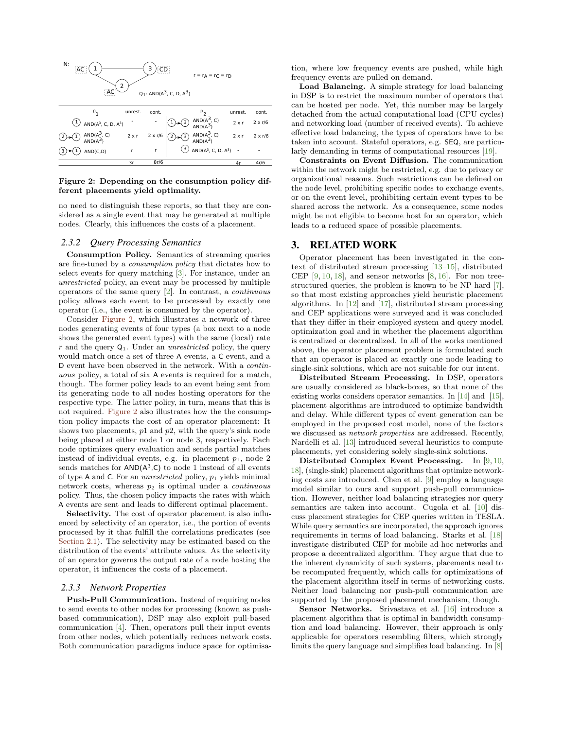

Figure 2: Depending on the consumption policy different placements yield optimality.

no need to distinguish these reports, so that they are considered as a single event that may be generated at multiple nodes. Clearly, this influences the costs of a placement.

#### *2.3.2 Query Processing Semantics*

Consumption Policy. Semantics of streaming queries are fine-tuned by a *consumption policy* that dictates how to select events for query matching [3]. For instance, under an *unrestricted* policy, an event may be processed by multiple operators of the same query [2]. In contrast, a *continuous* policy allows each event to be processed by exactly one operator (i.e., the event is consumed by the operator).

Consider Figure 2, which illustrates a network of three nodes generating events of four types (a box next to a node shows the generated event types) with the same (local) rate *r* and the query Q1. Under an *unrestricted* policy, the query would match once a set of three A events, a C event, and a D event have been observed in the network. With a *continuous* policy, a total of six A events is required for a match, though. The former policy leads to an event being sent from its generating node to all nodes hosting operators for the respective type. The latter policy, in turn, means that this is not required. Figure 2 also illustrates how the the consumption policy impacts the cost of an operator placement: It shows two placements, *p*1 and *p*2, with the query's sink node being placed at either node 1 or node 3, respectively. Each node optimizes query evaluation and sends partial matches instead of individual events, e.g. in placement  $p_1$ , node 2 sends matches for  $AND(A<sup>3</sup>,C)$  to node 1 instead of all events of type A and C. For an *unrestricted* policy, *p*<sup>1</sup> yields minimal network costs, whereas *p*<sup>2</sup> is optimal under a *continuous* policy. Thus, the chosen policy impacts the rates with which A events are sent and leads to different optimal placement.

Selectivity. The cost of operator placement is also influenced by selectivity of an operator, i.e., the portion of events processed by it that fulfill the correlations predicates (see Section 2.1). The selectivity may be estimated based on the distribution of the events' attribute values. As the selectivity of an operator governs the output rate of a node hosting the operator, it influences the costs of a placement.

#### *2.3.3 Network Properties*

Push-Pull Communication. Instead of requiring nodes to send events to other nodes for processing (known as pushbased communication), DSP may also exploit pull-based communication [4]. Then, operators pull their input events from other nodes, which potentially reduces network costs. Both communication paradigms induce space for optimisation, where low frequency events are pushed, while high frequency events are pulled on demand.

Load Balancing. A simple strategy for load balancing in DSP is to restrict the maximum number of operators that can be hosted per node. Yet, this number may be largely detached from the actual computational load (CPU cycles) and networking load (number of received events). To achieve effective load balancing, the types of operators have to be taken into account. Stateful operators, e.g. SEQ, are particularly demanding in terms of computational resources [19].

Constraints on Event Diffusion. The communication within the network might be restricted, e.g. due to privacy or organizational reasons. Such restrictions can be defined on the node level, prohibiting specific nodes to exchange events, or on the event level, prohibiting certain event types to be shared across the network. As a consequence, some nodes might be not eligible to become host for an operator, which leads to a reduced space of possible placements.

#### 3. RELATED WORK

Operator placement has been investigated in the context of distributed stream processing [13–15], distributed CEP  $[9, 10, 18]$ , and sensor networks  $[8, 16]$ . For non treestructured queries, the problem is known to be NP-hard [7], so that most existing approaches yield heuristic placement algorithms. In [12] and [17], distributed stream processing and CEP applications were surveyed and it was concluded that they differ in their employed system and query model, optimization goal and in whether the placement algorithm is centralized or decentralized. In all of the works mentioned above, the operator placement problem is formulated such that an operator is placed at exactly one node leading to single-sink solutions, which are not suitable for our intent.

Distributed Stream Processing. In DSP, operators are usually considered as black-boxes, so that none of the existing works considers operator semantics. In [14] and [15], placement algorithms are introduced to optimize bandwidth and delay. While different types of event generation can be employed in the proposed cost model, none of the factors we discussed as *network properties* are addressed. Recently, Nardelli et al. [13] introduced several heuristics to compute placements, yet considering solely single-sink solutions.

Distributed Complex Event Processing. In [9, 10, 18], (single-sink) placement algorithms that optimize networking costs are introduced. Chen et al. [9] employ a language model similar to ours and support push-pull communication. However, neither load balancing strategies nor query semantics are taken into account. Cugola et al. [10] discuss placement strategies for CEP queries written in TESLA. While query semantics are incorporated, the approach ignores requirements in terms of load balancing. Starks et al. [18] investigate distributed CEP for mobile ad-hoc networks and propose a decentralized algorithm. They argue that due to the inherent dynamicity of such systems, placements need to be recomputed frequently, which calls for optimizations of the placement algorithm itself in terms of networking costs. Neither load balancing nor push-pull communication are supported by the proposed placement mechanism, though.

Sensor Networks. Srivastava et al. [16] introduce a placement algorithm that is optimal in bandwidth consumption and load balancing. However, their approach is only applicable for operators resembling filters, which strongly limits the query language and simplifies load balancing. In [8]